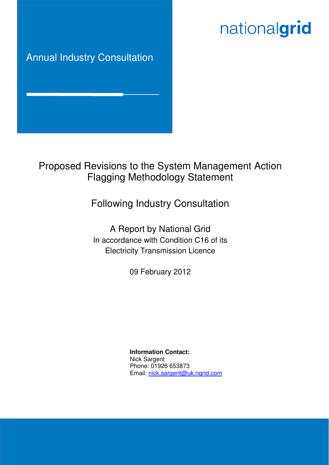# nationalgrid

# Annual Industry Consultation

# Proposed Revisions to the System Management Action Flagging Methodology Statement

# Following Industry Consultation

A Report by National Grid In accordance with Condition C16 of its Electricity Transmission Licence

09 February 2012

**Information Contact:** Nick Sargent Phone: 01926 653873 Email: nick.sargent@uk.ngrid.com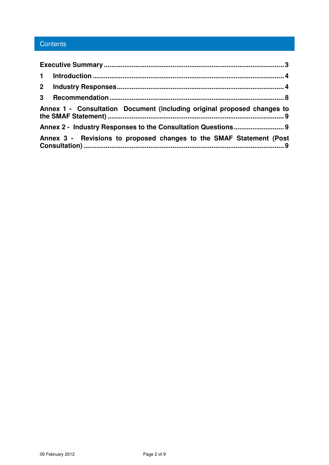## **Contents**

| $2^{\circ}$                                                             |                                                                     |  |  |  |
|-------------------------------------------------------------------------|---------------------------------------------------------------------|--|--|--|
|                                                                         |                                                                     |  |  |  |
| Annex 1 - Consultation Document (including original proposed changes to |                                                                     |  |  |  |
|                                                                         |                                                                     |  |  |  |
|                                                                         | Annex 3 - Revisions to proposed changes to the SMAF Statement (Post |  |  |  |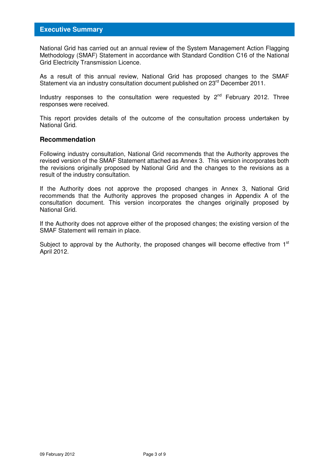National Grid has carried out an annual review of the System Management Action Flagging Methodology (SMAF) Statement in accordance with Standard Condition C16 of the National Grid Electricity Transmission Licence.

As a result of this annual review, National Grid has proposed changes to the SMAF Statement via an industry consultation document published on 23<sup>rd</sup> December 2011.

Industry responses to the consultation were requested by  $2<sup>nd</sup>$  February 2012. Three responses were received.

This report provides details of the outcome of the consultation process undertaken by National Grid.

#### **Recommendation**

Following industry consultation, National Grid recommends that the Authority approves the revised version of the SMAF Statement attached as Annex 3. This version incorporates both the revisions originally proposed by National Grid and the changes to the revisions as a result of the industry consultation.

If the Authority does not approve the proposed changes in Annex 3, National Grid recommends that the Authority approves the proposed changes in Appendix A of the consultation document. This version incorporates the changes originally proposed by National Grid.

If the Authority does not approve either of the proposed changes; the existing version of the SMAF Statement will remain in place.

Subject to approval by the Authority, the proposed changes will become effective from  $1<sup>st</sup>$ April 2012.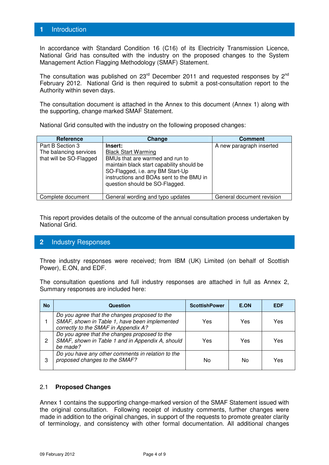### **1** Introduction

In accordance with Standard Condition 16 (C16) of its Electricity Transmission Licence, National Grid has consulted with the industry on the proposed changes to the System Management Action Flagging Methodology (SMAF) Statement.

The consultation was published on  $23<sup>rd</sup>$  December 2011 and requested responses by  $2<sup>nd</sup>$ February 2012. National Grid is then required to submit a post-consultation report to the Authority within seven days.

The consultation document is attached in the Annex to this document (Annex 1) along with the supporting, change marked SMAF Statement.

| Reference                                                             | Change                                                                                                                                                                                                                                  | <b>Comment</b>            |
|-----------------------------------------------------------------------|-----------------------------------------------------------------------------------------------------------------------------------------------------------------------------------------------------------------------------------------|---------------------------|
| Part B Section 3<br>The balancing services<br>that will be SO-Flagged | Insert:<br><b>Black Start Warming</b><br>BMUs that are warmed and run to<br>maintain black start capability should be<br>SO-Flagged, i.e. any BM Start-Up<br>instructions and BOAs sent to the BMU in<br>question should be SO-Flagged. | A new paragraph inserted  |
| Complete document                                                     | General wording and typo updates                                                                                                                                                                                                        | General document revision |

National Grid consulted with the industry on the following proposed changes:

This report provides details of the outcome of the annual consultation process undertaken by National Grid.

### **2** Industry Responses

Three industry responses were received; from IBM (UK) Limited (on behalf of Scottish Power), E.ON, and EDF.

The consultation questions and full industry responses are attached in full as Annex 2, Summary responses are included here:

| <b>No</b> | Question                                                                                                                               | <b>ScottishPower</b> | E.ON | <b>EDF</b> |
|-----------|----------------------------------------------------------------------------------------------------------------------------------------|----------------------|------|------------|
|           | Do you agree that the changes proposed to the<br>SMAF, shown in Table 1, have been implemented<br>correctly to the SMAF in Appendix A? | Yes                  | Yes  | Yes        |
| 2         | Do you agree that the changes proposed to the<br>SMAF, shown in Table 1 and in Appendix A, should<br>be made?                          | Yes                  | Yes  | Yes        |
| 3         | Do you have any other comments in relation to the<br>proposed changes to the SMAF?                                                     | No                   | No   | Yes        |

#### 2.1 **Proposed Changes**

Annex 1 contains the supporting change-marked version of the SMAF Statement issued with the original consultation. Following receipt of industry comments, further changes were made in addition to the original changes, in support of the requests to promote greater clarity of terminology, and consistency with other formal documentation. All additional changes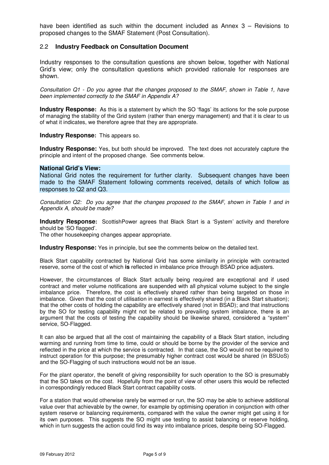have been identified as such within the document included as Annex 3 – Revisions to proposed changes to the SMAF Statement (Post Consultation).

#### 2.2 **Industry Feedback on Consultation Document**

Industry responses to the consultation questions are shown below, together with National Grid's view; only the consultation questions which provided rationale for responses are shown.

Consultation Q1 - Do you agree that the changes proposed to the SMAF, shown in Table 1, have been implemented correctly to the SMAF in Appendix A?

**Industry Response:** As this is a statement by which the SO 'flags' its actions for the sole purpose of managing the stability of the Grid system (rather than energy management) and that it is clear to us of what it indicates, we therefore agree that they are appropriate.

**Industry Response:** This appears so.

**Industry Response:** Yes, but both should be improved. The text does not accurately capture the principle and intent of the proposed change. See comments below.

#### **National Grid's View:**

National Grid notes the requirement for further clarity. Subsequent changes have been made to the SMAF Statement following comments received, details of which follow as responses to Q2 and Q3.

Consultation Q2: Do you agree that the changes proposed to the SMAF, shown in Table 1 and in Appendix A, should be made?

**Industry Response:** ScottishPower agrees that Black Start is a 'System' activity and therefore should be 'SO flagged'.

The other housekeeping changes appear appropriate.

**Industry Response:** Yes in principle, but see the comments below on the detailed text.

Black Start capability contracted by National Grid has some similarity in principle with contracted reserve, some of the cost of which **is** reflected in imbalance price through BSAD price adjusters.

However, the circumstances of Black Start actually being required are exceptional and if used contract and meter volume notifications are suspended with all physical volume subject to the single imbalance price. Therefore, the cost is effectively shared rather than being targeted on those in imbalance. Given that the cost of utilisation in earnest is effectively shared (in a Black Start situation); that the other costs of holding the capability are effectively shared (not in BSAD); and that instructions by the SO for testing capability might not be related to prevailing system imbalance, there is an argument that the costs of testing the capability should be likewise shared, considered a "system" service, SO-Flagged.

It can also be argued that all the cost of maintaining the capability of a Black Start station, including warming and running from time to time, could or should be borne by the provider of the service and reflected in the price at which the service is contracted. In that case, the SO would not be required to instruct operation for this purpose; the presumably higher contract cost would be shared (in BSUoS) and the SO-Flagging of such instructions would not be an issue.

For the plant operator, the benefit of giving responsibility for such operation to the SO is presumably that the SO takes on the cost. Hopefully from the point of view of other users this would be reflected in correspondingly reduced Black Start contract capability costs.

For a station that would otherwise rarely be warmed or run, the SO may be able to achieve additional value over that achievable by the owner, for example by optimising operation in conjunction with other system reserve or balancing requirements, compared with the value the owner might get using it for its own purposes. This suggests the SO might use testing to assist balancing or reserve holding, which in turn suggests the action could find its way into imbalance prices, despite being SO-Flagged.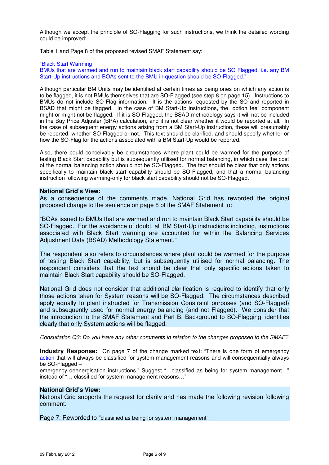Although we accept the principle of SO-Flagging for such instructions, we think the detailed wording could be improved:

Table 1 and Page 8 of the proposed revised SMAF Statement say:

#### "Black Start Warming

BMUs that are warmed and run to maintain black start capability should be SO Flagged, i.e. any BM Start-Up instructions and BOAs sent to the BMU in question should be SO-Flagged."

Although particular BM Units may be identified at certain times as being ones on which any action is to be flagged, it is not BMUs themselves that are SO-Flagged (see step 8 on page 15). Instructions to BMUs do not include SO-Flag information. It is the actions requested by the SO and reported in BSAD that might be flagged. In the case of BM Start-Up instructions, the "option fee" component might or might not be flagged. If it is SO-Flagged, the BSAD methodology says it will not be included in the Buy Price Adjuster (BPA) calculation, and it is not clear whether it would be reported at all. In the case of subsequent energy actions arising from a BM Start-Up instruction, these will presumably be reported, whether SO-Flagged or not. This text should be clarified, and should specify whether or how the SO-Flag for the actions associated with a BM Start-Up would be reported.

Also, there could conceivably be circumstances where plant could be warmed for the purpose of testing Black Start capability but is subsequently utilised for normal balancing, in which case the cost of the normal balancing action should not be SO-Flagged. The text should be clear that only actions specifically to maintain black start capability should be SO-Flagged, and that a normal balancing instruction following warming-only for black start capability should not be SO-Flagged.

#### **National Grid's View:**

As a consequence of the comments made, National Grid has reworded the original proposed change to the sentence on page 8 of the SMAF Statement to:

"BOAs issued to BMUs that are warmed and run to maintain Black Start capability should be SO-Flagged. For the avoidance of doubt, all BM Start-Up instructions including, instructions associated with Black Start warming are accounted for within the Balancing Services Adjustment Data (BSAD) Methodology Statement."

The respondent also refers to circumstances where plant could be warmed for the purpose of testing Black Start capability, but is subsequently utilised for normal balancing. The respondent considers that the text should be clear that only specific actions taken to maintain Black Start capability should be SO-Flagged.

National Grid does not consider that additional clarification is required to identify that only those actions taken for System reasons will be SO-Flagged. The circumstances described apply equally to plant instructed for Transmission Constraint purposes (and SO-Flagged) and subsequently used for normal energy balancing (and not Flagged). We consider that the introduction to the SMAF Statement and Part B, Background to SO-Flagging, identifies clearly that only System actions will be flagged.

Consultation Q3: Do you have any other comments in relation to the changes proposed to the SMAF?

**Industry Response:** On page 7 of the change marked text: "There is one form of emergency action that will always be classified for system management reasons and will consequentially always be SO-Flagged –

emergency deenergisation instructions." Suggest "...classified as being for system management..." instead of "… classified for system management reasons…"

#### **National Grid's View:**

National Grid supports the request for clarity and has made the following revision following comment:

Page 7: Reworded to "classified as being for system management".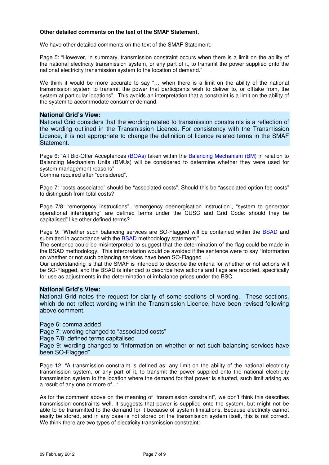#### **Other detailed comments on the text of the SMAF Statement.**

We have other detailed comments on the text of the SMAF Statement:

Page 5: "However, in summary, transmission constraint occurs when there is a limit on the ability of the national electricity transmission system, or any part of it, to transmit the power supplied onto the national electricity transmission system to the location of demand."

We think it would be more accurate to say "... when there is a limit on the ability of the national transmission system to transmit the power that participants wish to deliver to, or offtake from, the system at particular locations". This avoids an interpretation that a constraint is a limit on the ability of the system to accommodate consumer demand.

#### **National Grid's View:**

National Grid considers that the wording related to transmission constraints is a reflection of the wording outlined in the Transmission Licence. For consistency with the Transmission Licence, it is not appropriate to change the definition of licence related terms in the SMAF Statement.

Page 6: "All Bid-Offer Acceptances (BOAs) taken within the Balancing Mechanism (BM) in relation to Balancing Mechanism Units (BMUs) will be considered to determine whether they were used for system management reasons"

Comma required after "considered".

Page 7: "costs associated" should be "associated costs". Should this be "associated option fee costs" to distinguish from total costs?

Page 7/8: "emergency instructions", "emergency deenergisation instruction", "system to generator operational intertripping" are defined terms under the CUSC and Grid Code: should they be capitalised" like other defined terms?

Page 9: "Whether such balancing services are SO-Flagged will be contained within the BSAD and submitted in accordance with the BSAD methodology statement."

The sentence could be misinterpreted to suggest that the determination of the flag could be made in the BSAD methodology. This interpretation would be avoided if the sentence were to say "Information on whether or not such balancing services have been SO-Flagged …"

Our understanding is that the SMAF is intended to describe the criteria for whether or not actions will be SO-Flagged, and the BSAD is intended to describe how actions and flags are reported, specifically for use as adjustments in the determination of imbalance prices under the BSC.

#### **National Grid's View:**

National Grid notes the request for clarity of some sections of wording. These sections, which do not reflect wording within the Transmission Licence, have been revised following above comment.

Page 6: comma added

Page 7: wording changed to "associated costs"

Page 7/8: defined terms capitalised

Page 9: wording changed to "Information on whether or not such balancing services have been SO-Flagged"

Page 12: "A transmission constraint is defined as: any limit on the ability of the national electricity transmission system, or any part of it, to transmit the power supplied onto the national electricity transmission system to the location where the demand for that power is situated, such limit arising as a result of any one or more of.. "

As for the comment above on the meaning of "transmission constraint", we don't think this describes transmission constraints well. It suggests that power is supplied onto the system, but might not be able to be transmitted to the demand for it because of system limitations. Because electricity cannot easily be stored, and in any case is not stored on the transmission system itself, this is not correct. We think there are two types of electricity transmission constraint: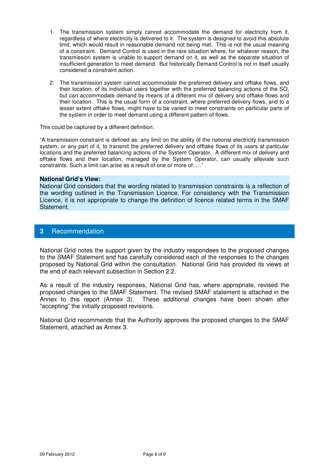- 1. The transmission system simply cannot accommodate the demand for electricity from it, regardless of where electricity is delivered to it. The system is designed to avoid this absolute limit, which would result in reasonable demand not being met. This is not the usual meaning of a constraint. Demand Control is used in the rare situation where, for whatever reason, the transmission system is unable to support demand on it, as well as the separate situation of insufficient generation to meet demand. But historically Demand Control is not in itself usually considered a constraint action.
- 2. The transmission system cannot accommodate the preferred delivery and offtake flows, and their location, of its individual users together with the preferred balancing actions of the SO, but can accommodate demand by means of a different mix of delivery and offtake flows and their location. This is the usual form of a constraint, where preferred delivery flows, and to a lesser extent offtake flows, might have to be varied to meet constraints on particular parts of the system in order to meet demand using a different pattern of flows.

This could be captured by a different definition:

"A transmission constraint is defined as: any limit on the ability of the national electricity transmission system, or any part of it, to transmit the preferred delivery and offtake flows of its users at particular locations and the preferred balancing actions of the System Operator. A different mix of delivery and offtake flows and their location, managed by the System Operator, can usually alleviate such constraints. Such a limit can arise as a result of one or more of: …"

#### **National Grid's View:**

National Grid considers that the wording related to transmission constraints is a reflection of the wording outlined in the Transmission Licence. For consistency with the Transmission Licence, it is not appropriate to change the definition of licence related terms in the SMAF Statement.

#### **3** Recommendation

National Grid notes the support given by the industry respondees to the proposed changes to the SMAF Statement and has carefully considered each of the responses to the changes proposed by National Grid within the consultation. National Grid has provided its views at the end of each relevant subsection in Section 2.2.

As a result of the industry responses, National Grid has, where appropriate, revised the proposed changes to the SMAF Statement. The revised SMAF statement is attached in the Annex to this report (Annex 3). These additional changes have been shown after "accepting" the initially proposed revisions.

National Grid recommends that the Authority approves the proposed changes to the SMAF Statement, attached as Annex 3.